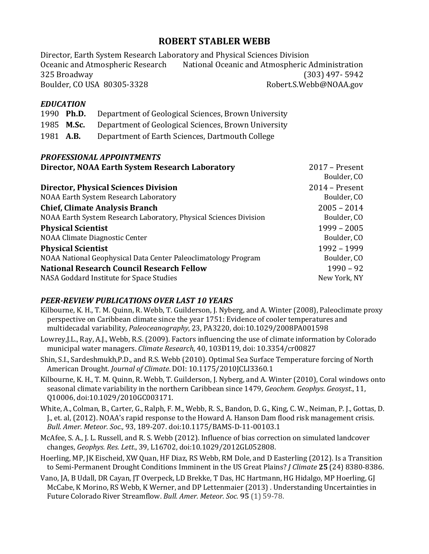# **ROBERT STABLER WEBB**

Director, Earth System Research Laboratory and Physical Sciences Division Oceanic and Atmospheric Research National Oceanic and Atmospheric Administration 325 Broadway (303) 497- 5942 Boulder, CO USA 80305-3328 Robert.S.Webb@NOAA.gov

## *EDUCATION*

| 1990 Ph.D.        | Department of Geological Sciences, Brown University |
|-------------------|-----------------------------------------------------|
| 1985 <b>M.Sc.</b> | Department of Geological Sciences, Brown University |

1981 A.B. Department of Earth Sciences, Dartmouth College

### *PROFESSIONAL APPOINTMENTS*

| Director, NOAA Earth System Research Laboratory                   | $2017$ – Present<br>Boulder, CO |
|-------------------------------------------------------------------|---------------------------------|
| <b>Director, Physical Sciences Division</b>                       | $2014$ – Present                |
| NOAA Earth System Research Laboratory                             | Boulder, CO                     |
| <b>Chief, Climate Analysis Branch</b>                             | $2005 - 2014$                   |
| NOAA Earth System Research Laboratory, Physical Sciences Division | Boulder, CO                     |
| <b>Physical Scientist</b>                                         | $1999 - 2005$                   |
| NOAA Climate Diagnostic Center                                    | Boulder, CO                     |
| <b>Physical Scientist</b>                                         | 1992 - 1999                     |
| NOAA National Geophysical Data Center Paleoclimatology Program    | Boulder, CO                     |
| <b>National Research Council Research Fellow</b>                  | $1990 - 92$                     |
| NASA Goddard Institute for Space Studies                          | New York, NY                    |

### *PEER-REVIEW PUBLICATIONS OVER LAST 10 YEARS*

- Kilbourne, K. H., T. M. Quinn, R. Webb, T. Guilderson, J. Nyberg, and A. Winter (2008), Paleoclimate proxy perspective on Caribbean climate since the year 1751: Evidence of cooler temperatures and multidecadal variability, Paleoceanography, 23, PA3220, doi:10.1029/2008PA001598
- Lowrey, J.L., Ray, A.J., Webb, R.S. (2009). Factors influencing the use of climate information by Colorado municipal water managers. *Climate Research*, 40, 103Đ119, doi: 10.3354/cr00827
- Shin, S.I., Sardeshmukh, P.D., and R.S. Webb (2010). Optimal Sea Surface Temperature forcing of North American Drought. *Journal of Climate*. DOI: 10.1175/2010JCLI3360.1
- Kilbourne, K. H., T. M. Quinn, R. Webb, T. Guilderson, J. Nyberg, and A. Winter (2010), Coral windows onto seasonal climate variability in the northern Caribbean since 1479, *Geochem. Geophys. Geosyst.*, 11, Q10006, doi:10.1029/2010GC003171.
- White, A., Colman, B., Carter, G., Ralph, F. M., Webb, R. S., Bandon, D. G., King, C. W., Neiman, P. J., Gottas, D. J., et. al, (2012). NOAA's rapid response to the Howard A. Hanson Dam flood risk management crisis. *Bull. Amer. Meteor. Soc.,* 93, 189-207. doi:10.1175/BAMS-D-11-00103.1
- McAfee, S. A., J. L. Russell, and R. S. Webb (2012). Influence of bias correction on simulated landcover changes, *Geophys. Res. Lett*., 39, L16702, doi:10.1029/2012GL052808.
- Hoerling, MP, JK Eischeid, XW Quan, HF Diaz, RS Webb, RM Dole, and D Easterling (2012). Is a Transition to Semi-Permanent Drought Conditions Imminent in the US Great Plains? *J Climate* 25 (24) 8380-8386.
- Vano, JA, B Udall, DR Cayan, JT Overpeck, LD Brekke, T Das, HC Hartmann, HG Hidalgo, MP Hoerling, GJ McCabe, K Morino, RS Webb, K Werner, and DP Lettenmaier (2013) . Understanding Uncertainties in Future Colorado River Streamflow. *Bull. Amer. Meteor. Soc.* 95 (1) 59-78.